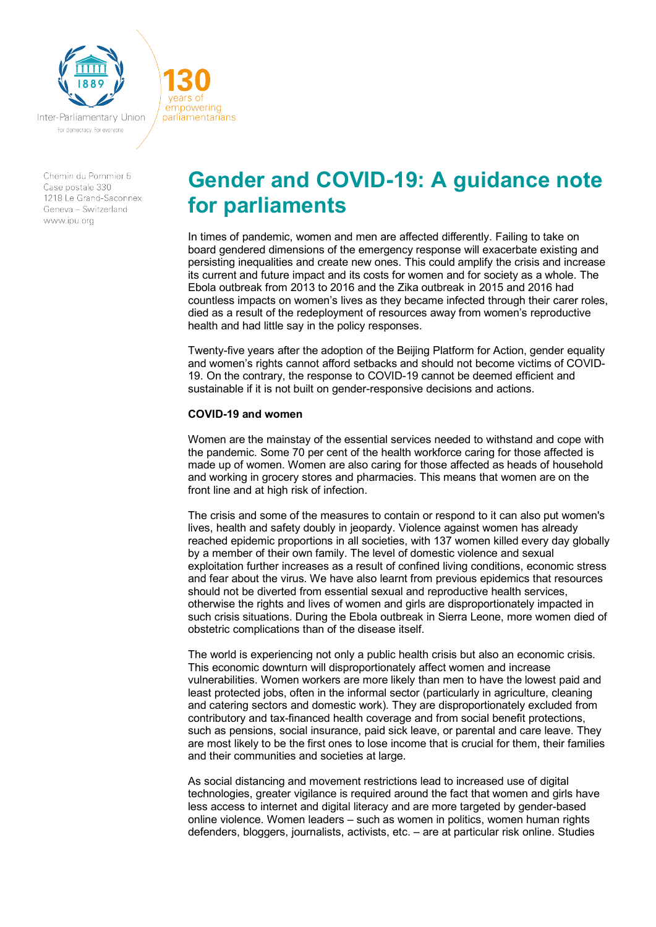

Inter-Parliamentary Union For democracy. For everyone

vears of empowering

parliamentarians

Chemin du Pommier 5 Case postale 330 1218 Le Grand-Saconnex Geneva - Switzerland www.inu.org

# **Gender and COVID-19: A guidance note for parliaments**

In times of pandemic, women and men are affected differently. Failing to take on board gendered dimensions of the emergency response will exacerbate existing and persisting inequalities and create new ones. This could amplify the crisis and increase its current and future impact and its costs for women and for society as a whole. The Ebola outbreak from 2013 to 2016 and the Zika outbreak in 2015 and 2016 had countless impacts on women's lives as they became infected through their carer roles, died as a result of the redeployment of resources away from women's reproductive health and had little say in the policy responses.

Twenty-five years after the adoption of the Beijing Platform for Action, gender equality and women's rights cannot afford setbacks and should not become victims of COVID-19. On the contrary, the response to COVID-19 cannot be deemed efficient and sustainable if it is not built on gender-responsive decisions and actions.

### **COVID-19 and women**

Women are the mainstay of the essential services needed to withstand and cope with the pandemic. Some 70 per cent of the health workforce caring for those affected is made up of women. Women are also caring for those affected as heads of household and working in grocery stores and pharmacies. This means that women are on the front line and at high risk of infection.

The crisis and some of the measures to contain or respond to it can also put women's lives, health and safety doubly in jeopardy. Violence against women has already reached epidemic proportions in all societies, with 137 women killed every day globally by a member of their own family. The level of domestic violence and sexual exploitation further increases as a result of confined living conditions, economic stress and fear about the virus. We have also learnt from previous epidemics that resources should not be diverted from essential sexual and reproductive health services, otherwise the rights and lives of women and girls are disproportionately impacted in such crisis situations. During the Ebola outbreak in Sierra Leone, more women died of obstetric complications than of the disease itself.

The world is experiencing not only a public health crisis but also an economic crisis. This economic downturn will disproportionately affect women and increase vulnerabilities. Women workers are more likely than men to have the lowest paid and least protected jobs, often in the informal sector (particularly in agriculture, cleaning and catering sectors and domestic work). They are disproportionately excluded from contributory and tax-financed health coverage and from social benefit protections, such as pensions, social insurance, paid sick leave, or parental and care leave. They are most likely to be the first ones to lose income that is crucial for them, their families and their communities and societies at large.

As social distancing and movement restrictions lead to increased use of digital technologies, greater vigilance is required around the fact that women and girls have less access to internet and digital literacy and are more targeted by gender-based online violence. Women leaders – such as women in politics, women human rights defenders, bloggers, journalists, activists, etc. – are at particular risk online. Studies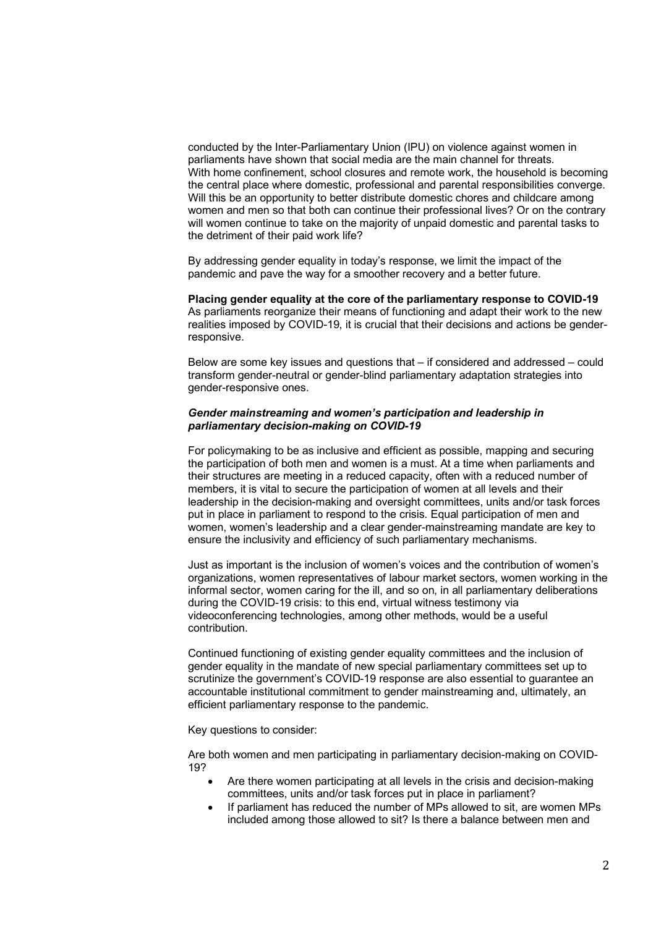conducted by the Inter-Parliamentary Union (IPU) on violence against women in parliaments have shown that social media are the main channel for threats. With home confinement, school closures and remote work, the household is becoming the central place where domestic, professional and parental responsibilities converge. Will this be an opportunity to better distribute domestic chores and childcare among women and men so that both can continue their professional lives? Or on the contrary will women continue to take on the majority of unpaid domestic and parental tasks to the detriment of their paid work life?

By addressing gender equality in today's response, we limit the impact of the pandemic and pave the way for a smoother recovery and a better future.

**Placing gender equality at the core of the parliamentary response to COVID-19**  As parliaments reorganize their means of functioning and adapt their work to the new realities imposed by COVID-19, it is crucial that their decisions and actions be genderresponsive.

Below are some key issues and questions that – if considered and addressed – could transform gender-neutral or gender-blind parliamentary adaptation strategies into gender-responsive ones.

#### *Gender mainstreaming and women's participation and leadership in parliamentary decision-making on COVID-19*

For policymaking to be as inclusive and efficient as possible, mapping and securing the participation of both men and women is a must. At a time when parliaments and their structures are meeting in a reduced capacity, often with a reduced number of members, it is vital to secure the participation of women at all levels and their leadership in the decision-making and oversight committees, units and/or task forces put in place in parliament to respond to the crisis. Equal participation of men and women, women's leadership and a clear gender-mainstreaming mandate are key to ensure the inclusivity and efficiency of such parliamentary mechanisms.

Just as important is the inclusion of women's voices and the contribution of women's organizations, women representatives of labour market sectors, women working in the informal sector, women caring for the ill, and so on, in all parliamentary deliberations during the COVID-19 crisis: to this end, virtual witness testimony via videoconferencing technologies, among other methods, would be a useful contribution.

Continued functioning of existing gender equality committees and the inclusion of gender equality in the mandate of new special parliamentary committees set up to scrutinize the government's COVID-19 response are also essential to guarantee an accountable institutional commitment to gender mainstreaming and, ultimately, an efficient parliamentary response to the pandemic.

Key questions to consider:

Are both women and men participating in parliamentary decision-making on COVID-19?

- Are there women participating at all levels in the crisis and decision-making committees, units and/or task forces put in place in parliament?
- If parliament has reduced the number of MPs allowed to sit, are women MPs included among those allowed to sit? Is there a balance between men and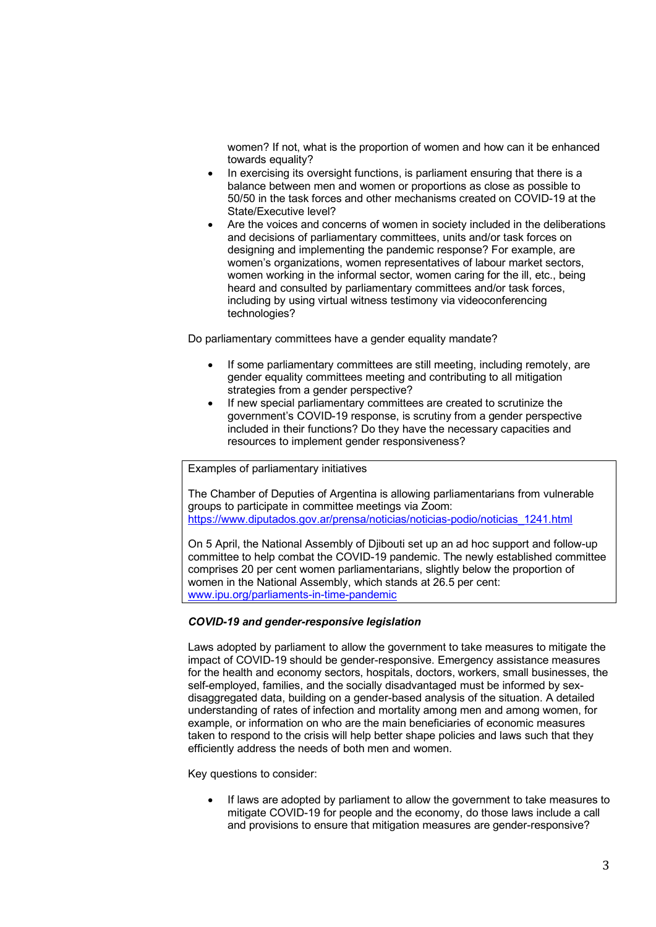women? If not, what is the proportion of women and how can it be enhanced towards equality?

- In exercising its oversight functions, is parliament ensuring that there is a balance between men and women or proportions as close as possible to 50/50 in the task forces and other mechanisms created on COVID-19 at the State/Executive level?
- Are the voices and concerns of women in society included in the deliberations and decisions of parliamentary committees, units and/or task forces on designing and implementing the pandemic response? For example, are women's organizations, women representatives of labour market sectors, women working in the informal sector, women caring for the ill, etc., being heard and consulted by parliamentary committees and/or task forces, including by using virtual witness testimony via videoconferencing technologies?

Do parliamentary committees have a gender equality mandate?

- If some parliamentary committees are still meeting, including remotely, are gender equality committees meeting and contributing to all mitigation strategies from a gender perspective?
- If new special parliamentary committees are created to scrutinize the government's COVID-19 response, is scrutiny from a gender perspective included in their functions? Do they have the necessary capacities and resources to implement gender responsiveness?

Examples of parliamentary initiatives

The Chamber of Deputies of Argentina is allowing parliamentarians from vulnerable groups to participate in committee meetings via Zoom: https://www.diputados.gov.ar/prensa/noticias/noticias-podio/noticias\_1241.html

On 5 April, the National Assembly of Djibouti set up an ad hoc support and follow-up committee to help combat the COVID-19 pandemic. The newly established committee comprises 20 per cent women parliamentarians, slightly below the proportion of women in the National Assembly, which stands at 26.5 per cent: www.ipu.org/parliaments-in-time-pandemic

## *COVID-19 and gender-responsive legislation*

Laws adopted by parliament to allow the government to take measures to mitigate the impact of COVID-19 should be gender-responsive. Emergency assistance measures for the health and economy sectors, hospitals, doctors, workers, small businesses, the self-employed, families, and the socially disadvantaged must be informed by sexdisaggregated data, building on a gender-based analysis of the situation. A detailed understanding of rates of infection and mortality among men and among women, for example, or information on who are the main beneficiaries of economic measures taken to respond to the crisis will help better shape policies and laws such that they efficiently address the needs of both men and women.

Key questions to consider:

• If laws are adopted by parliament to allow the government to take measures to mitigate COVID-19 for people and the economy, do those laws include a call and provisions to ensure that mitigation measures are gender-responsive?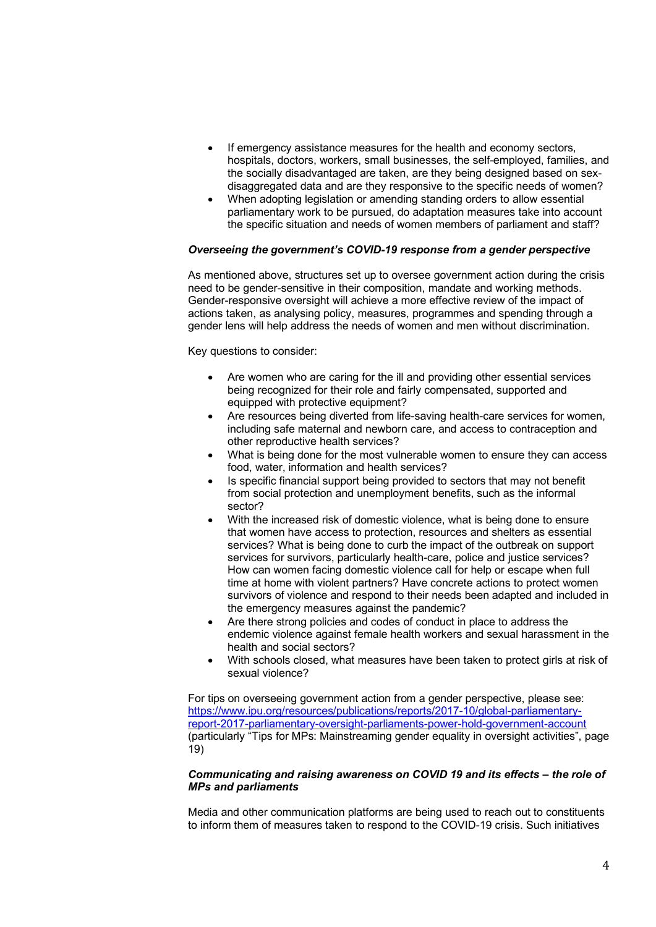- If emergency assistance measures for the health and economy sectors, hospitals, doctors, workers, small businesses, the self-employed, families, and the socially disadvantaged are taken, are they being designed based on sexdisaggregated data and are they responsive to the specific needs of women?
- When adopting legislation or amending standing orders to allow essential parliamentary work to be pursued, do adaptation measures take into account the specific situation and needs of women members of parliament and staff?

## *Overseeing the government's COVID-19 response from a gender perspective*

As mentioned above, structures set up to oversee government action during the crisis need to be gender-sensitive in their composition, mandate and working methods. Gender-responsive oversight will achieve a more effective review of the impact of actions taken, as analysing policy, measures, programmes and spending through a gender lens will help address the needs of women and men without discrimination.

Key questions to consider:

- Are women who are caring for the ill and providing other essential services being recognized for their role and fairly compensated, supported and equipped with protective equipment?
- Are resources being diverted from life-saving health-care services for women, including safe maternal and newborn care, and access to contraception and other reproductive health services?
- What is being done for the most vulnerable women to ensure they can access food, water, information and health services?
- Is specific financial support being provided to sectors that may not benefit from social protection and unemployment benefits, such as the informal sector?
- With the increased risk of domestic violence, what is being done to ensure that women have access to protection, resources and shelters as essential services? What is being done to curb the impact of the outbreak on support services for survivors, particularly health-care, police and justice services? How can women facing domestic violence call for help or escape when full time at home with violent partners? Have concrete actions to protect women survivors of violence and respond to their needs been adapted and included in the emergency measures against the pandemic?
- Are there strong policies and codes of conduct in place to address the endemic violence against female health workers and sexual harassment in the health and social sectors?
- With schools closed, what measures have been taken to protect girls at risk of sexual violence?

For tips on overseeing government action from a gender perspective, please see: https://www.ipu.org/resources/publications/reports/2017-10/global-parliamentaryreport-2017-parliamentary-oversight-parliaments-power-hold-government-account (particularly "Tips for MPs: Mainstreaming gender equality in oversight activities", page 19)

### *Communicating and raising awareness on COVID 19 and its effects – the role of MPs and parliaments*

Media and other communication platforms are being used to reach out to constituents to inform them of measures taken to respond to the COVID-19 crisis. Such initiatives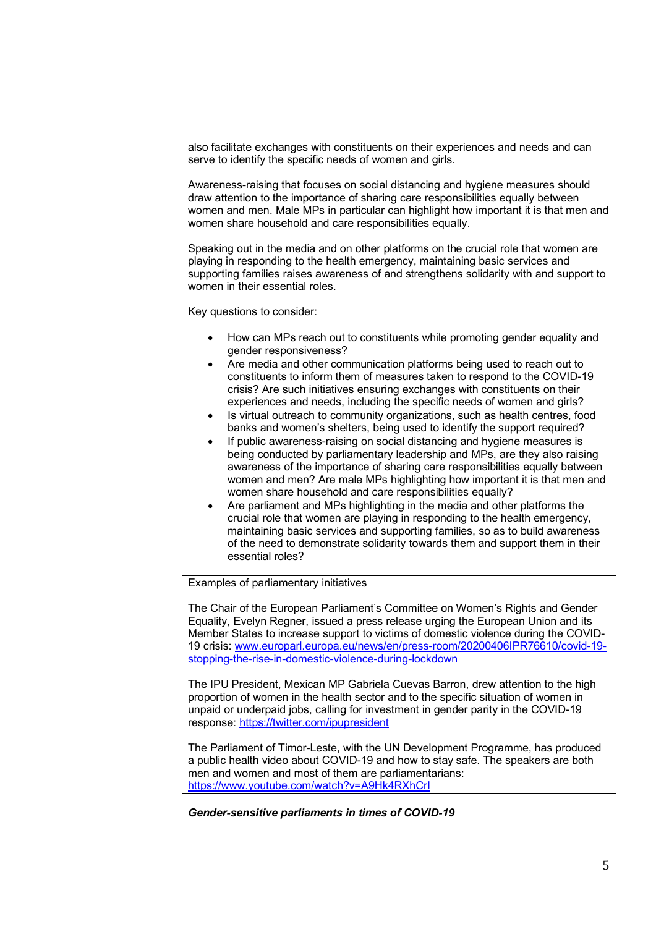also facilitate exchanges with constituents on their experiences and needs and can serve to identify the specific needs of women and girls.

Awareness-raising that focuses on social distancing and hygiene measures should draw attention to the importance of sharing care responsibilities equally between women and men. Male MPs in particular can highlight how important it is that men and women share household and care responsibilities equally.

Speaking out in the media and on other platforms on the crucial role that women are playing in responding to the health emergency, maintaining basic services and supporting families raises awareness of and strengthens solidarity with and support to women in their essential roles.

Key questions to consider:

- How can MPs reach out to constituents while promoting gender equality and gender responsiveness?
- Are media and other communication platforms being used to reach out to constituents to inform them of measures taken to respond to the COVID-19 crisis? Are such initiatives ensuring exchanges with constituents on their experiences and needs, including the specific needs of women and girls?
- Is virtual outreach to community organizations, such as health centres, food banks and women's shelters, being used to identify the support required?
- If public awareness-raising on social distancing and hygiene measures is being conducted by parliamentary leadership and MPs, are they also raising awareness of the importance of sharing care responsibilities equally between women and men? Are male MPs highlighting how important it is that men and women share household and care responsibilities equally?
- Are parliament and MPs highlighting in the media and other platforms the crucial role that women are playing in responding to the health emergency, maintaining basic services and supporting families, so as to build awareness of the need to demonstrate solidarity towards them and support them in their essential roles?

Examples of parliamentary initiatives

The Chair of the European Parliament's Committee on Women's Rights and Gender Equality, Evelyn Regner, issued a press release urging the European Union and its Member States to increase support to victims of domestic violence during the COVID-19 crisis: www.europarl.europa.eu/news/en/press-room/20200406IPR76610/covid-19 stopping-the-rise-in-domestic-violence-during-lockdown

The IPU President, Mexican MP Gabriela Cuevas Barron, drew attention to the high proportion of women in the health sector and to the specific situation of women in unpaid or underpaid jobs, calling for investment in gender parity in the COVID-19 response: https://twitter.com/ipupresident

The Parliament of Timor-Leste, with the UN Development Programme, has produced a public health video about COVID-19 and how to stay safe. The speakers are both men and women and most of them are parliamentarians: https://www.youtube.com/watch?v=A9Hk4RXhCrI

*Gender-sensitive parliaments in times of COVID-19*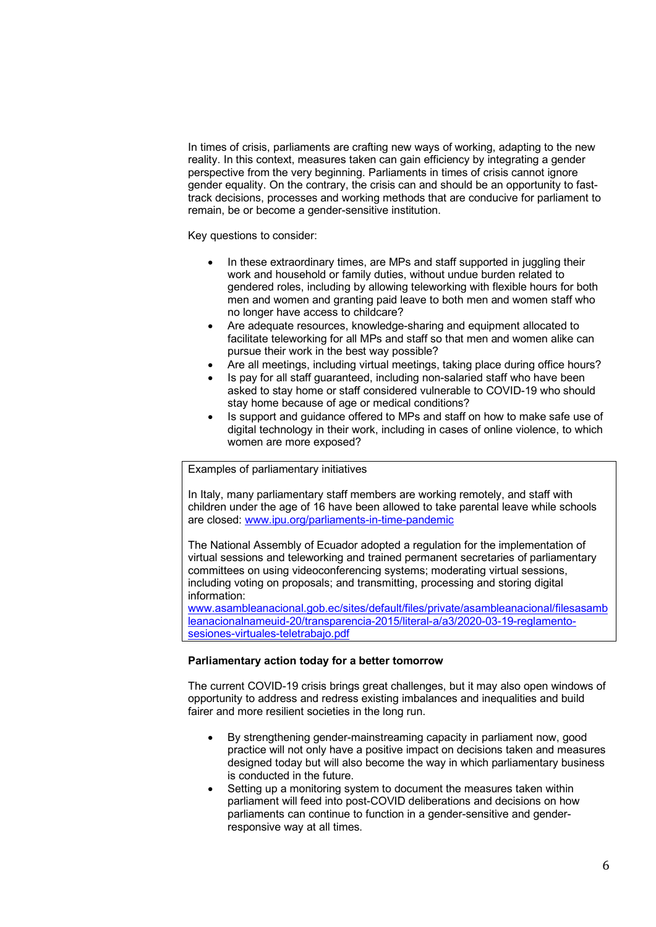In times of crisis, parliaments are crafting new ways of working, adapting to the new reality. In this context, measures taken can gain efficiency by integrating a gender perspective from the very beginning. Parliaments in times of crisis cannot ignore gender equality. On the contrary, the crisis can and should be an opportunity to fasttrack decisions, processes and working methods that are conducive for parliament to remain, be or become a gender-sensitive institution.

Key questions to consider:

- In these extraordinary times, are MPs and staff supported in juggling their work and household or family duties, without undue burden related to gendered roles, including by allowing teleworking with flexible hours for both men and women and granting paid leave to both men and women staff who no longer have access to childcare?
- Are adequate resources, knowledge-sharing and equipment allocated to facilitate teleworking for all MPs and staff so that men and women alike can pursue their work in the best way possible?
- Are all meetings, including virtual meetings, taking place during office hours?
- Is pay for all staff guaranteed, including non-salaried staff who have been asked to stay home or staff considered vulnerable to COVID-19 who should stay home because of age or medical conditions?
- Is support and guidance offered to MPs and staff on how to make safe use of digital technology in their work, including in cases of online violence, to which women are more exposed?

Examples of parliamentary initiatives

In Italy, many parliamentary staff members are working remotely, and staff with children under the age of 16 have been allowed to take parental leave while schools are closed: www.ipu.org/parliaments-in-time-pandemic

The National Assembly of Ecuador adopted a regulation for the implementation of virtual sessions and teleworking and trained permanent secretaries of parliamentary committees on using videoconferencing systems; moderating virtual sessions, including voting on proposals; and transmitting, processing and storing digital information:

www.asambleanacional.gob.ec/sites/default/files/private/asambleanacional/filesasamb leanacionalnameuid-20/transparencia-2015/literal-a/a3/2020-03-19-reglamentosesiones-virtuales-teletrabajo.pdf

### **Parliamentary action today for a better tomorrow**

The current COVID-19 crisis brings great challenges, but it may also open windows of opportunity to address and redress existing imbalances and inequalities and build fairer and more resilient societies in the long run.

- By strengthening gender-mainstreaming capacity in parliament now, good practice will not only have a positive impact on decisions taken and measures designed today but will also become the way in which parliamentary business is conducted in the future.
- Setting up a monitoring system to document the measures taken within parliament will feed into post-COVID deliberations and decisions on how parliaments can continue to function in a gender-sensitive and genderresponsive way at all times.